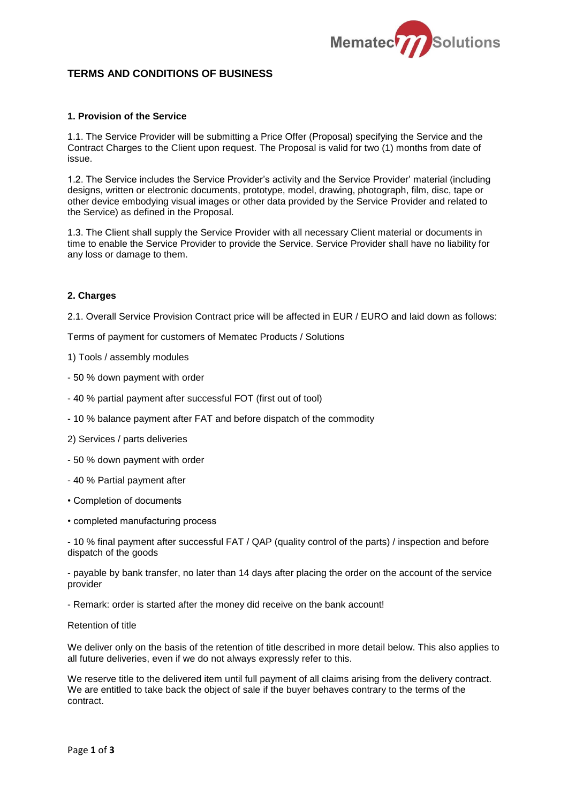

# **TERMS AND CONDITIONS OF BUSINESS**

#### **1. Provision of the Service**

1.1. The Service Provider will be submitting a Price Offer (Proposal) specifying the Service and the Contract Charges to the Client upon request. The Proposal is valid for two (1) months from date of issue.

1.2. The Service includes the Service Provider's activity and the Service Provider' material (including designs, written or electronic documents, prototype, model, drawing, photograph, film, disc, tape or other device embodying visual images or other data provided by the Service Provider and related to the Service) as defined in the Proposal.

1.3. The Client shall supply the Service Provider with all necessary Client material or documents in time to enable the Service Provider to provide the Service. Service Provider shall have no liability for any loss or damage to them.

## **2. Charges**

2.1. Overall Service Provision Contract price will be affected in EUR / EURO and laid down as follows:

Terms of payment for customers of Mematec Products / Solutions

1) Tools / assembly modules

- 50 % down payment with order
- 40 % partial payment after successful FOT (first out of tool)
- 10 % balance payment after FAT and before dispatch of the commodity
- 2) Services / parts deliveries
- 50 % down payment with order
- 40 % Partial payment after
- Completion of documents
- completed manufacturing process

- 10 % final payment after successful FAT / QAP (quality control of the parts) / inspection and before dispatch of the goods

- payable by bank transfer, no later than 14 days after placing the order on the account of the service provider

- Remark: order is started after the money did receive on the bank account!

Retention of title

We deliver only on the basis of the retention of title described in more detail below. This also applies to all future deliveries, even if we do not always expressly refer to this.

We reserve title to the delivered item until full payment of all claims arising from the delivery contract. We are entitled to take back the object of sale if the buyer behaves contrary to the terms of the contract.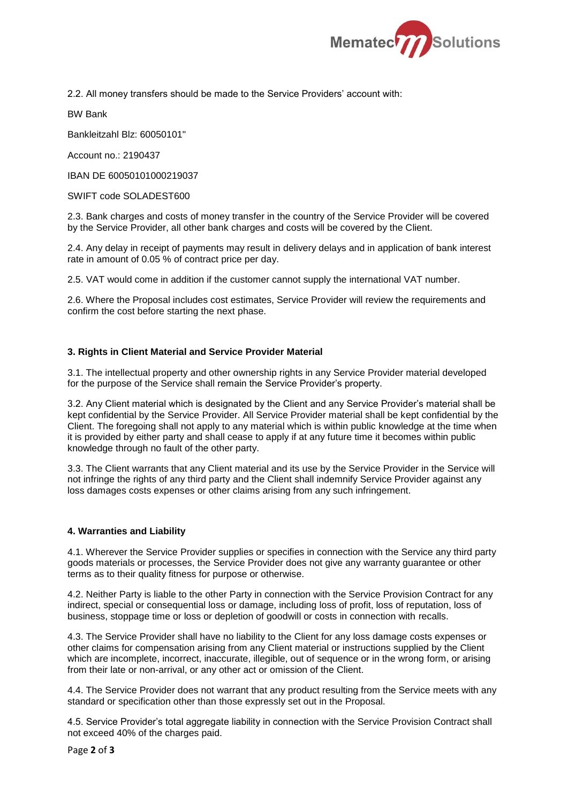

2.2. All money transfers should be made to the Service Providers' account with:

BW Bank

Bankleitzahl Blz: 60050101"

Account no.: 2190437

IBAN DE 60050101000219037

SWIFT code SOLADEST600

2.3. Bank charges and costs of money transfer in the country of the Service Provider will be covered by the Service Provider, all other bank charges and costs will be covered by the Client.

2.4. Any delay in receipt of payments may result in delivery delays and in application of bank interest rate in amount of 0.05 % of contract price per day.

2.5. VAT would come in addition if the customer cannot supply the international VAT number.

2.6. Where the Proposal includes cost estimates, Service Provider will review the requirements and confirm the cost before starting the next phase.

## **3. Rights in Client Material and Service Provider Material**

3.1. The intellectual property and other ownership rights in any Service Provider material developed for the purpose of the Service shall remain the Service Provider's property.

3.2. Any Client material which is designated by the Client and any Service Provider's material shall be kept confidential by the Service Provider. All Service Provider material shall be kept confidential by the Client. The foregoing shall not apply to any material which is within public knowledge at the time when it is provided by either party and shall cease to apply if at any future time it becomes within public knowledge through no fault of the other party.

3.3. The Client warrants that any Client material and its use by the Service Provider in the Service will not infringe the rights of any third party and the Client shall indemnify Service Provider against any loss damages costs expenses or other claims arising from any such infringement.

#### **4. Warranties and Liability**

4.1. Wherever the Service Provider supplies or specifies in connection with the Service any third party goods materials or processes, the Service Provider does not give any warranty guarantee or other terms as to their quality fitness for purpose or otherwise.

4.2. Neither Party is liable to the other Party in connection with the Service Provision Contract for any indirect, special or consequential loss or damage, including loss of profit, loss of reputation, loss of business, stoppage time or loss or depletion of goodwill or costs in connection with recalls.

4.3. The Service Provider shall have no liability to the Client for any loss damage costs expenses or other claims for compensation arising from any Client material or instructions supplied by the Client which are incomplete, incorrect, inaccurate, illegible, out of sequence or in the wrong form, or arising from their late or non-arrival, or any other act or omission of the Client.

4.4. The Service Provider does not warrant that any product resulting from the Service meets with any standard or specification other than those expressly set out in the Proposal.

4.5. Service Provider's total aggregate liability in connection with the Service Provision Contract shall not exceed 40% of the charges paid.